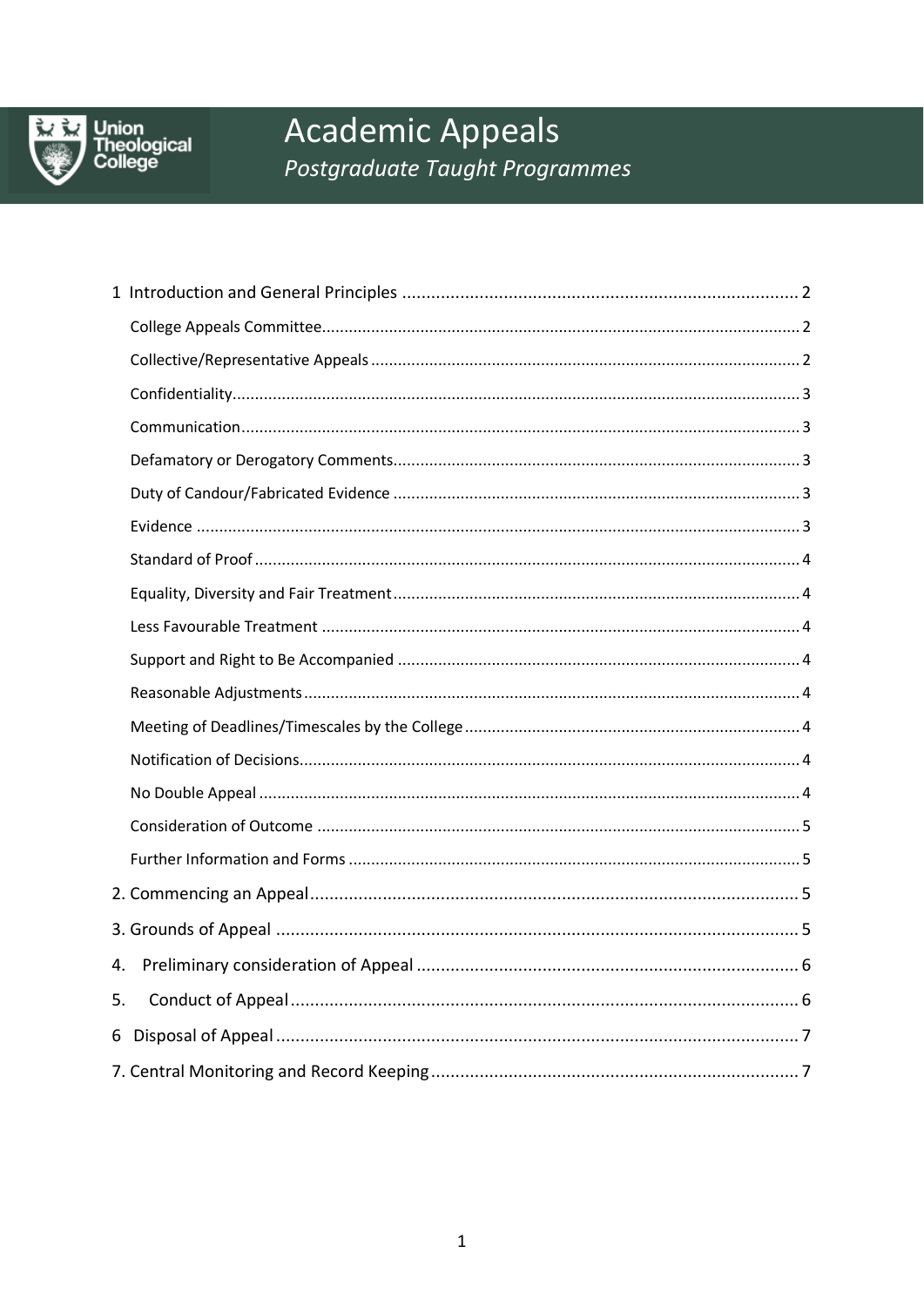

# **Academic Appeals** Postgraduate Taught Programmes

| 4. |  |
|----|--|
| 5. |  |
|    |  |
|    |  |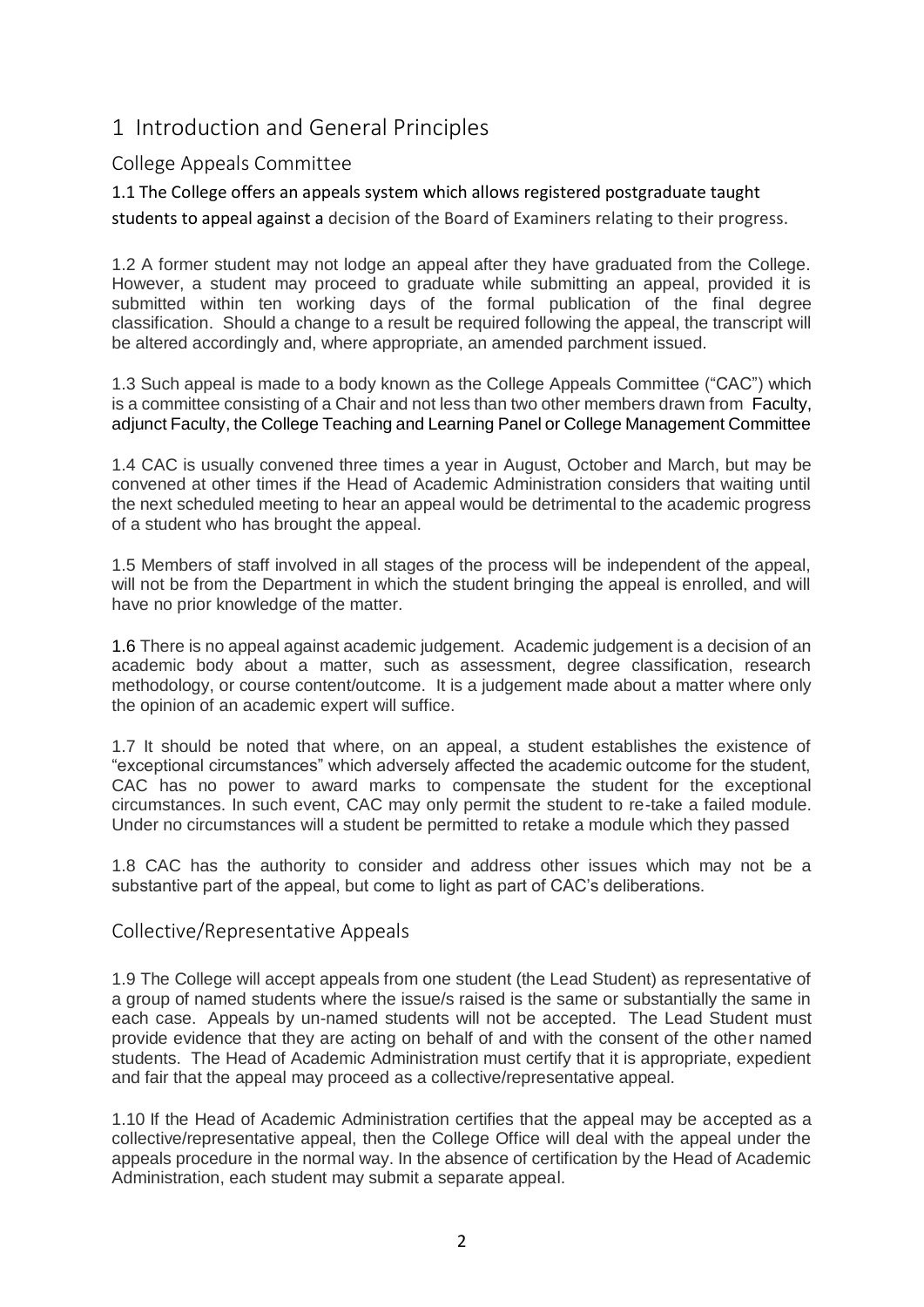# <span id="page-1-0"></span>1 Introduction and General Principles

## <span id="page-1-1"></span>College Appeals Committee

1.1 The College offers an appeals system which allows registered postgraduate taught

students to appeal against a decision of the Board of Examiners relating to their progress.

1.2 A former student may not lodge an appeal after they have graduated from the College. However, a student may proceed to graduate while submitting an appeal, provided it is submitted within ten working days of the formal publication of the final degree classification. Should a change to a result be required following the appeal, the transcript will be altered accordingly and, where appropriate, an amended parchment issued.

1.3 Such appeal is made to a body known as the College Appeals Committee ("CAC") which is a committee consisting of a Chair and not less than two other members drawn from Faculty, adjunct Faculty, the College Teaching and Learning Panel or College Management Committee

1.4 CAC is usually convened three times a year in August, October and March, but may be convened at other times if the Head of Academic Administration considers that waiting until the next scheduled meeting to hear an appeal would be detrimental to the academic progress of a student who has brought the appeal.

1.5 Members of staff involved in all stages of the process will be independent of the appeal, will not be from the Department in which the student bringing the appeal is enrolled, and will have no prior knowledge of the matter.

1.6 There is no appeal against academic judgement. Academic judgement is a decision of an academic body about a matter, such as assessment, degree classification, research methodology, or course content/outcome. It is a judgement made about a matter where only the opinion of an academic expert will suffice.

1.7 It should be noted that where, on an appeal, a student establishes the existence of "exceptional circumstances" which adversely affected the academic outcome for the student, CAC has no power to award marks to compensate the student for the exceptional circumstances. In such event, CAC may only permit the student to re-take a failed module. Under no circumstances will a student be permitted to retake a module which they passed

1.8 CAC has the authority to consider and address other issues which may not be a substantive part of the appeal, but come to light as part of CAC's deliberations.

#### <span id="page-1-2"></span>Collective/Representative Appeals

1.9 The College will accept appeals from one student (the Lead Student) as representative of a group of named students where the issue/s raised is the same or substantially the same in each case. Appeals by un-named students will not be accepted. The Lead Student must provide evidence that they are acting on behalf of and with the consent of the other named students. The Head of Academic Administration must certify that it is appropriate, expedient and fair that the appeal may proceed as a collective/representative appeal.

1.10 If the Head of Academic Administration certifies that the appeal may be accepted as a collective/representative appeal, then the College Office will deal with the appeal under the appeals procedure in the normal way. In the absence of certification by the Head of Academic Administration, each student may submit a separate appeal.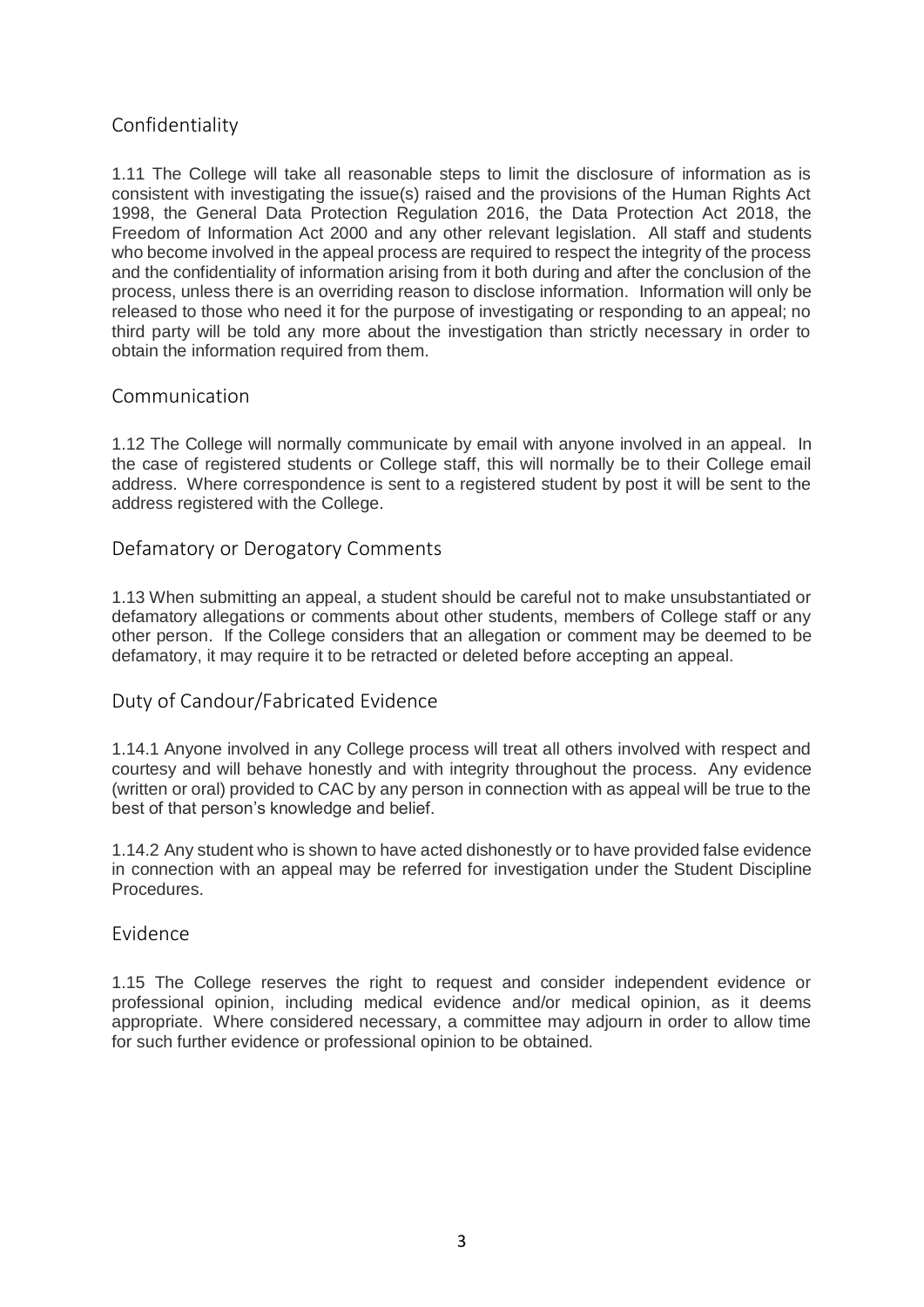## <span id="page-2-0"></span>Confidentiality

1.11 The College will take all reasonable steps to limit the disclosure of information as is consistent with investigating the issue(s) raised and the provisions of the Human Rights Act 1998, the General Data Protection Regulation 2016, the Data Protection Act 2018, the Freedom of Information Act 2000 and any other relevant legislation. All staff and students who become involved in the appeal process are required to respect the integrity of the process and the confidentiality of information arising from it both during and after the conclusion of the process, unless there is an overriding reason to disclose information. Information will only be released to those who need it for the purpose of investigating or responding to an appeal; no third party will be told any more about the investigation than strictly necessary in order to obtain the information required from them.

#### <span id="page-2-1"></span>Communication

1.12 The College will normally communicate by email with anyone involved in an appeal. In the case of registered students or College staff, this will normally be to their College email address. Where correspondence is sent to a registered student by post it will be sent to the address registered with the College.

#### <span id="page-2-2"></span>Defamatory or Derogatory Comments

1.13 When submitting an appeal, a student should be careful not to make unsubstantiated or defamatory allegations or comments about other students, members of College staff or any other person. If the College considers that an allegation or comment may be deemed to be defamatory, it may require it to be retracted or deleted before accepting an appeal.

#### <span id="page-2-3"></span>Duty of Candour/Fabricated Evidence

1.14.1 Anyone involved in any College process will treat all others involved with respect and courtesy and will behave honestly and with integrity throughout the process. Any evidence (written or oral) provided to CAC by any person in connection with as appeal will be true to the best of that person's knowledge and belief.

1.14.2 Any student who is shown to have acted dishonestly or to have provided false evidence in connection with an appeal may be referred for investigation under the Student Discipline Procedures.

#### <span id="page-2-4"></span>Evidence

1.15 The College reserves the right to request and consider independent evidence or professional opinion, including medical evidence and/or medical opinion, as it deems appropriate. Where considered necessary, a committee may adjourn in order to allow time for such further evidence or professional opinion to be obtained.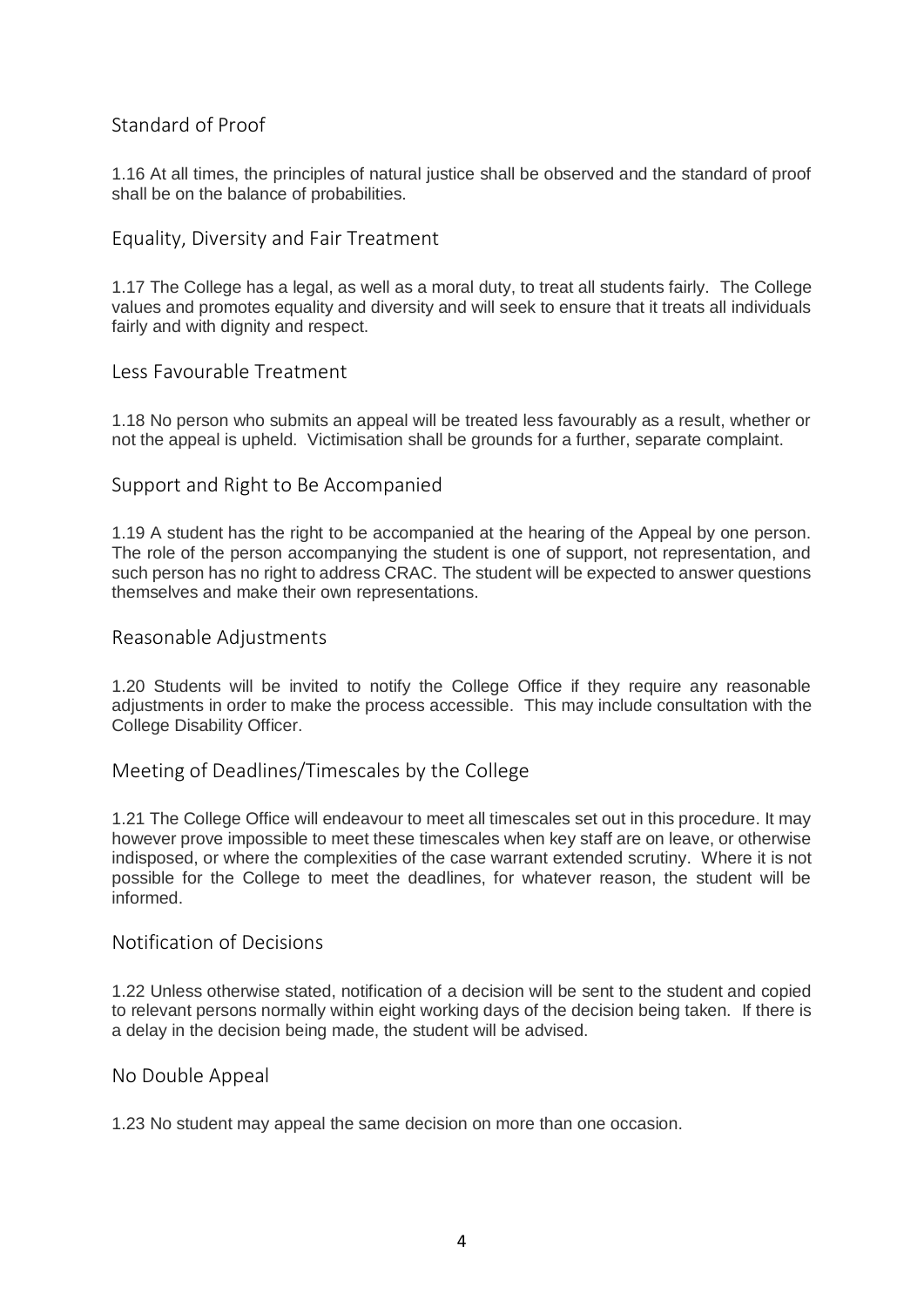## <span id="page-3-0"></span>Standard of Proof

1.16 At all times, the principles of natural justice shall be observed and the standard of proof shall be on the balance of probabilities.

#### <span id="page-3-1"></span>Equality, Diversity and Fair Treatment

1.17 The College has a legal, as well as a moral duty, to treat all students fairly. The College values and promotes equality and diversity and will seek to ensure that it treats all individuals fairly and with dignity and respect.

#### <span id="page-3-2"></span>Less Favourable Treatment

1.18 No person who submits an appeal will be treated less favourably as a result, whether or not the appeal is upheld. Victimisation shall be grounds for a further, separate complaint.

#### <span id="page-3-3"></span>Support and Right to Be Accompanied

1.19 A student has the right to be accompanied at the hearing of the Appeal by one person. The role of the person accompanying the student is one of support, not representation, and such person has no right to address CRAC. The student will be expected to answer questions themselves and make their own representations.

#### <span id="page-3-4"></span>Reasonable Adjustments

1.20 Students will be invited to notify the College Office if they require any reasonable adjustments in order to make the process accessible. This may include consultation with the College Disability Officer.

#### <span id="page-3-5"></span>Meeting of Deadlines/Timescales by the College

1.21 The College Office will endeavour to meet all timescales set out in this procedure. It may however prove impossible to meet these timescales when key staff are on leave, or otherwise indisposed, or where the complexities of the case warrant extended scrutiny. Where it is not possible for the College to meet the deadlines, for whatever reason, the student will be informed.

#### <span id="page-3-6"></span>Notification of Decisions

1.22 Unless otherwise stated, notification of a decision will be sent to the student and copied to relevant persons normally within eight working days of the decision being taken. If there is a delay in the decision being made, the student will be advised.

#### <span id="page-3-7"></span>No Double Appeal

1.23 No student may appeal the same decision on more than one occasion.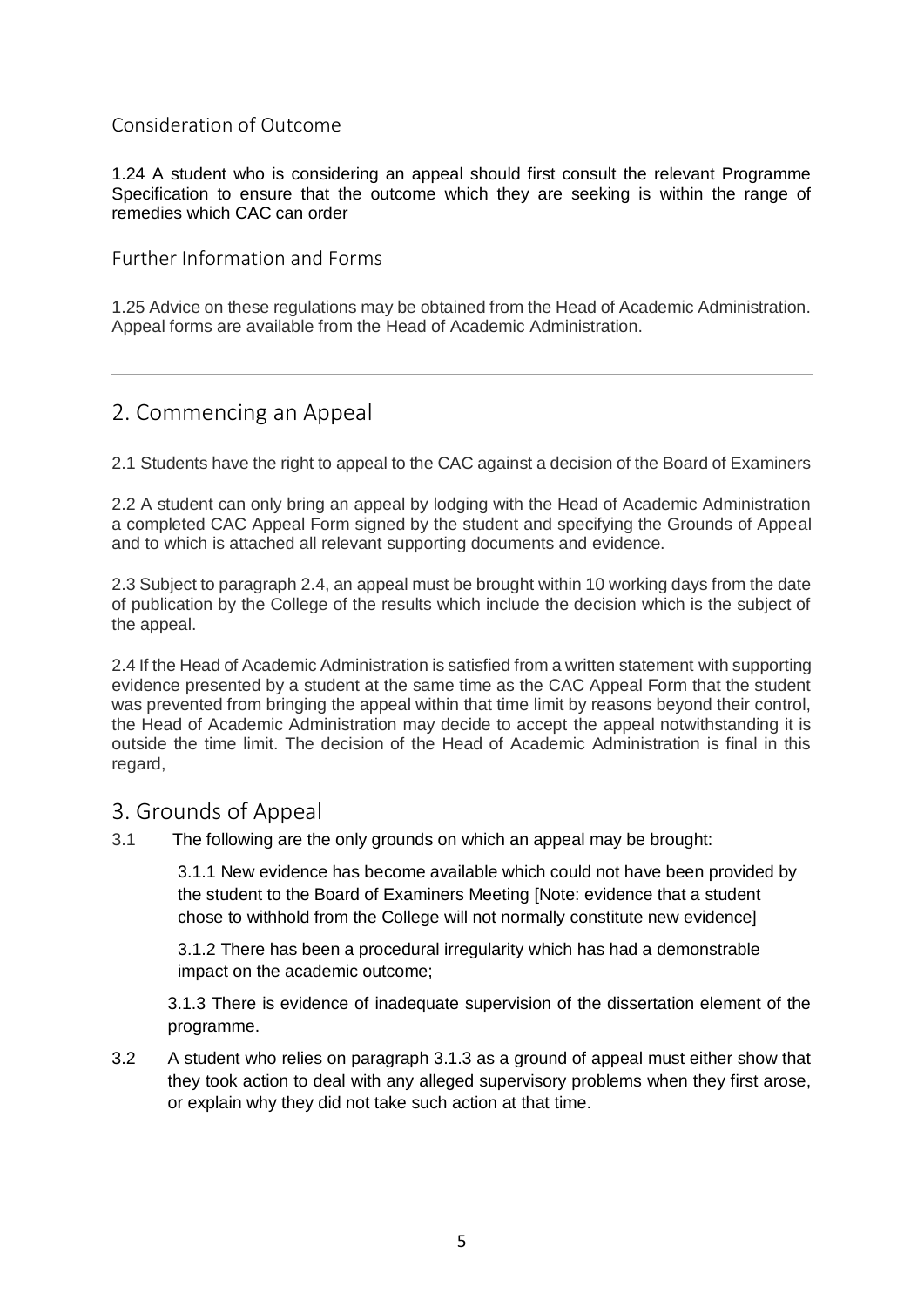## <span id="page-4-0"></span>Consideration of Outcome

1.24 A student who is considering an appeal should first consult the relevant Programme Specification to ensure that the outcome which they are seeking is within the range of remedies which CAC can order

<span id="page-4-1"></span>Further Information and Forms

1.25 Advice on these regulations may be obtained from the Head of Academic Administration. Appeal forms are available from the Head of Academic Administration.

# <span id="page-4-2"></span>2. Commencing an Appeal

2.1 Students have the right to appeal to the CAC against a decision of the Board of Examiners

2.2 A student can only bring an appeal by lodging with the Head of Academic Administration a completed CAC Appeal Form signed by the student and specifying the Grounds of Appeal and to which is attached all relevant supporting documents and evidence.

2.3 Subject to paragraph 2.4, an appeal must be brought within 10 working days from the date of publication by the College of the results which include the decision which is the subject of the appeal.

2.4 If the Head of Academic Administration is satisfied from a written statement with supporting evidence presented by a student at the same time as the CAC Appeal Form that the student was prevented from bringing the appeal within that time limit by reasons beyond their control, the Head of Academic Administration may decide to accept the appeal notwithstanding it is outside the time limit. The decision of the Head of Academic Administration is final in this regard,

## <span id="page-4-3"></span>3. Grounds of Appeal

3.1 The following are the only grounds on which an appeal may be brought:

3.1.1 New evidence has become available which could not have been provided by the student to the Board of Examiners Meeting [Note: evidence that a student chose to withhold from the College will not normally constitute new evidence]

3.1.2 There has been a procedural irregularity which has had a demonstrable impact on the academic outcome;

3.1.3 There is evidence of inadequate supervision of the dissertation element of the programme.

3.2 A student who relies on paragraph 3.1.3 as a ground of appeal must either show that they took action to deal with any alleged supervisory problems when they first arose, or explain why they did not take such action at that time.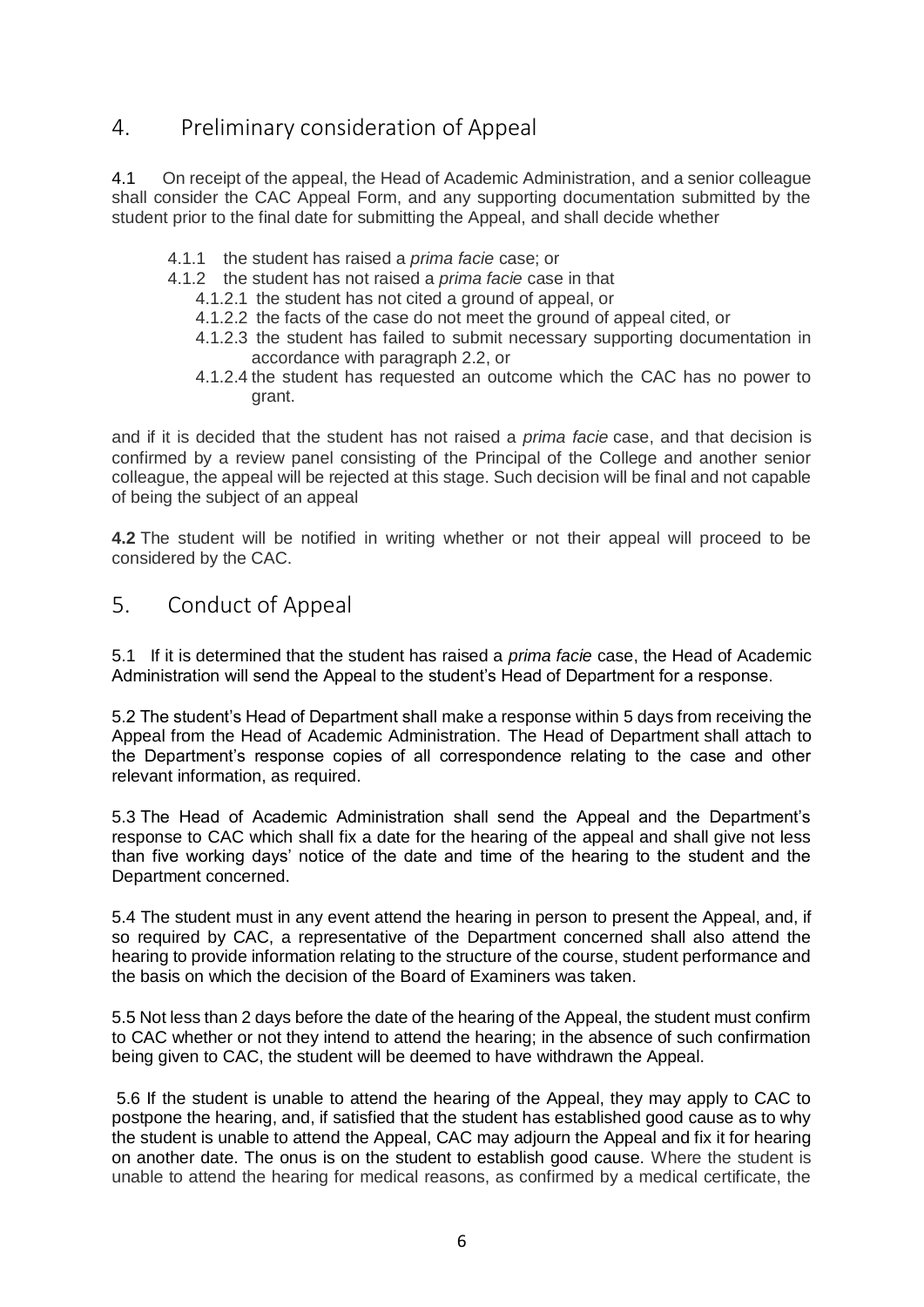# <span id="page-5-0"></span>4. Preliminary consideration of Appeal

4.1 On receipt of the appeal, the Head of Academic Administration, and a senior colleague shall consider the CAC Appeal Form, and any supporting documentation submitted by the student prior to the final date for submitting the Appeal, and shall decide whether

- 4.1.1 the student has raised a *prima facie* case; or
- 4.1.2 the student has not raised a *prima facie* case in that
	- 4.1.2.1 the student has not cited a ground of appeal, or
	- 4.1.2.2 the facts of the case do not meet the ground of appeal cited, or
	- 4.1.2.3 the student has failed to submit necessary supporting documentation in accordance with paragraph 2.2, or
	- 4.1.2.4 the student has requested an outcome which the CAC has no power to grant.

and if it is decided that the student has not raised a *prima facie* case, and that decision is confirmed by a review panel consisting of the Principal of the College and another senior colleague, the appeal will be rejected at this stage. Such decision will be final and not capable of being the subject of an appeal

**4.2** The student will be notified in writing whether or not their appeal will proceed to be considered by the CAC.

# <span id="page-5-1"></span>5. Conduct of Appeal

5.1 If it is determined that the student has raised a *prima facie* case, the Head of Academic Administration will send the Appeal to the student's Head of Department for a response.

5.2 The student's Head of Department shall make a response within 5 days from receiving the Appeal from the Head of Academic Administration. The Head of Department shall attach to the Department's response copies of all correspondence relating to the case and other relevant information, as required.

5.3 The Head of Academic Administration shall send the Appeal and the Department's response to CAC which shall fix a date for the hearing of the appeal and shall give not less than five working days' notice of the date and time of the hearing to the student and the Department concerned.

5.4 The student must in any event attend the hearing in person to present the Appeal, and, if so required by CAC, a representative of the Department concerned shall also attend the hearing to provide information relating to the structure of the course, student performance and the basis on which the decision of the Board of Examiners was taken.

5.5 Not less than 2 days before the date of the hearing of the Appeal, the student must confirm to CAC whether or not they intend to attend the hearing; in the absence of such confirmation being given to CAC, the student will be deemed to have withdrawn the Appeal.

5.6 If the student is unable to attend the hearing of the Appeal, they may apply to CAC to postpone the hearing, and, if satisfied that the student has established good cause as to why the student is unable to attend the Appeal, CAC may adjourn the Appeal and fix it for hearing on another date. The onus is on the student to establish good cause. Where the student is unable to attend the hearing for medical reasons, as confirmed by a medical certificate, the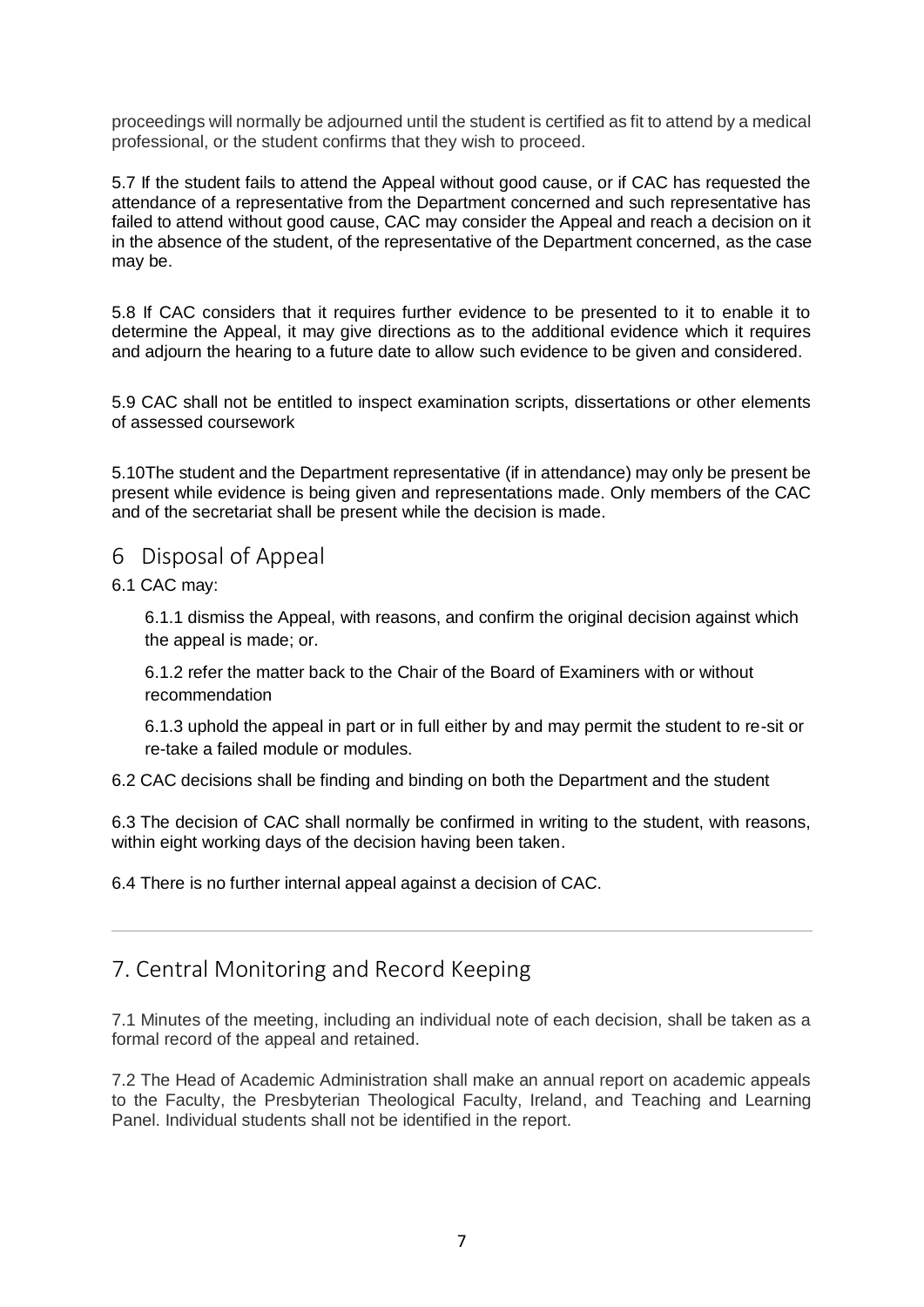proceedings will normally be adjourned until the student is certified as fit to attend by a medical professional, or the student confirms that they wish to proceed.

5.7 If the student fails to attend the Appeal without good cause, or if CAC has requested the attendance of a representative from the Department concerned and such representative has failed to attend without good cause, CAC may consider the Appeal and reach a decision on it in the absence of the student, of the representative of the Department concerned, as the case may be.

5.8 If CAC considers that it requires further evidence to be presented to it to enable it to determine the Appeal, it may give directions as to the additional evidence which it requires and adjourn the hearing to a future date to allow such evidence to be given and considered.

5.9 CAC shall not be entitled to inspect examination scripts, dissertations or other elements of assessed coursework

5.10The student and the Department representative (if in attendance) may only be present be present while evidence is being given and representations made. Only members of the CAC and of the secretariat shall be present while the decision is made.

## <span id="page-6-0"></span>6 Disposal of Appeal

6.1 CAC may:

6.1.1 dismiss the Appeal, with reasons, and confirm the original decision against which the appeal is made; or.

6.1.2 refer the matter back to the Chair of the Board of Examiners with or without recommendation

6.1.3 uphold the appeal in part or in full either by and may permit the student to re-sit or re-take a failed module or modules.

6.2 CAC decisions shall be finding and binding on both the Department and the student

6.3 The decision of CAC shall normally be confirmed in writing to the student, with reasons, within eight working days of the decision having been taken.

6.4 There is no further internal appeal against a decision of CAC.

# <span id="page-6-1"></span>7. Central Monitoring and Record Keeping

7.1 Minutes of the meeting, including an individual note of each decision, shall be taken as a formal record of the appeal and retained.

7.2 The Head of Academic Administration shall make an annual report on academic appeals to the Faculty, the Presbyterian Theological Faculty, Ireland, and Teaching and Learning Panel. Individual students shall not be identified in the report.